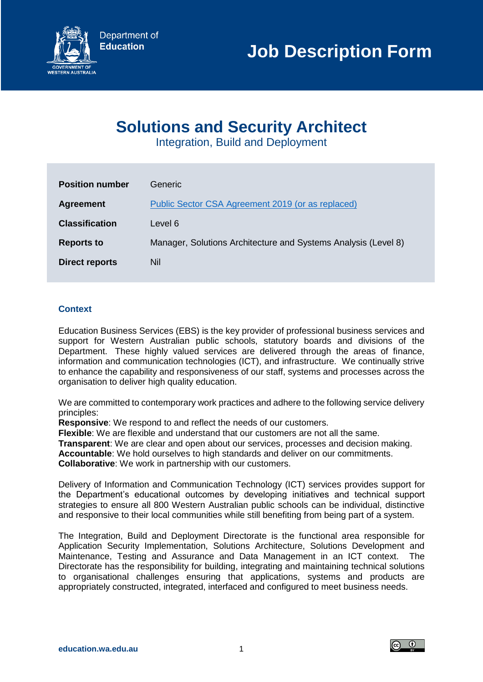

# **Solutions and Security Architect**

Integration, Build and Deployment

| <b>Position number</b> | Generic.                                                       |
|------------------------|----------------------------------------------------------------|
| <b>Agreement</b>       | Public Sector CSA Agreement 2019 (or as replaced)              |
| <b>Classification</b>  | Level 6                                                        |
| <b>Reports to</b>      | Manager, Solutions Architecture and Systems Analysis (Level 8) |
| <b>Direct reports</b>  | Nil                                                            |
|                        |                                                                |

## **Context**

Education Business Services (EBS) is the key provider of professional business services and support for Western Australian public schools, statutory boards and divisions of the Department. These highly valued services are delivered through the areas of finance, information and communication technologies (ICT), and infrastructure. We continually strive to enhance the capability and responsiveness of our staff, systems and processes across the organisation to deliver high quality education.

We are committed to contemporary work practices and adhere to the following service delivery principles:

**Responsive**: We respond to and reflect the needs of our customers.

**Flexible**: We are flexible and understand that our customers are not all the same.

**Transparent**: We are clear and open about our services, processes and decision making.

**Accountable**: We hold ourselves to high standards and deliver on our commitments.

**Collaborative**: We work in partnership with our customers.

Delivery of Information and Communication Technology (ICT) services provides support for the Department's educational outcomes by developing initiatives and technical support strategies to ensure all 800 Western Australian public schools can be individual, distinctive and responsive to their local communities while still benefiting from being part of a system.

The Integration, Build and Deployment Directorate is the functional area responsible for Application Security Implementation, Solutions Architecture, Solutions Development and Maintenance, Testing and Assurance and Data Management in an ICT context. The Directorate has the responsibility for building, integrating and maintaining technical solutions to organisational challenges ensuring that applications, systems and products are appropriately constructed, integrated, interfaced and configured to meet business needs.

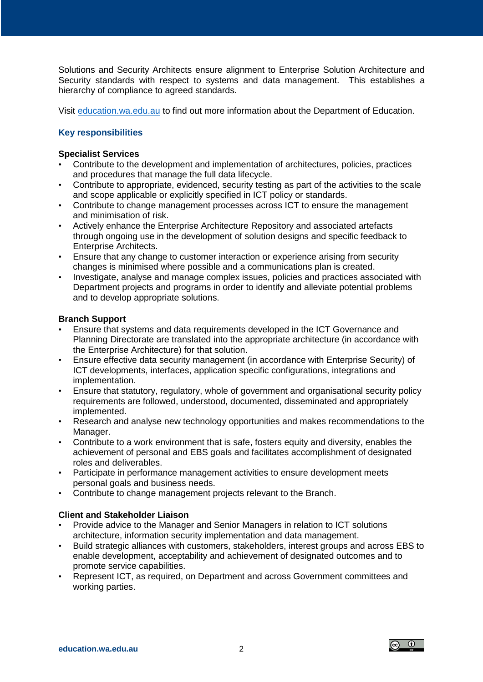Solutions and Security Architects ensure alignment to Enterprise Solution Architecture and Security standards with respect to systems and data management. This establishes a hierarchy of compliance to agreed standards.

Visit [education.wa.edu.au](file:///C:/Users/E2023844/AppData/Local/Hewlett-Packard/HP%20TRIM/TEMP/HPTRIM.7112/education.wa.edu.au) to find out more information about the Department of Education.

# **Key responsibilities**

#### **Specialist Services**

- Contribute to the development and implementation of architectures, policies, practices and procedures that manage the full data lifecycle.
- Contribute to appropriate, evidenced, security testing as part of the activities to the scale and scope applicable or explicitly specified in ICT policy or standards.
- Contribute to change management processes across ICT to ensure the management and minimisation of risk.
- Actively enhance the Enterprise Architecture Repository and associated artefacts through ongoing use in the development of solution designs and specific feedback to Enterprise Architects.
- Ensure that any change to customer interaction or experience arising from security changes is minimised where possible and a communications plan is created.
- Investigate, analyse and manage complex issues, policies and practices associated with Department projects and programs in order to identify and alleviate potential problems and to develop appropriate solutions.

#### **Branch Support**

- Ensure that systems and data requirements developed in the ICT Governance and Planning Directorate are translated into the appropriate architecture (in accordance with the Enterprise Architecture) for that solution.
- Ensure effective data security management (in accordance with Enterprise Security) of ICT developments, interfaces, application specific configurations, integrations and implementation.
- Ensure that statutory, regulatory, whole of government and organisational security policy requirements are followed, understood, documented, disseminated and appropriately implemented.
- Research and analyse new technology opportunities and makes recommendations to the Manager.
- Contribute to a work environment that is safe, fosters equity and diversity, enables the achievement of personal and EBS goals and facilitates accomplishment of designated roles and deliverables.
- Participate in performance management activities to ensure development meets personal goals and business needs.
- Contribute to change management projects relevant to the Branch.

#### **Client and Stakeholder Liaison**

- Provide advice to the Manager and Senior Managers in relation to ICT solutions architecture, information security implementation and data management.
- Build strategic alliances with customers, stakeholders, interest groups and across EBS to enable development, acceptability and achievement of designated outcomes and to promote service capabilities.
- Represent ICT, as required, on Department and across Government committees and working parties.